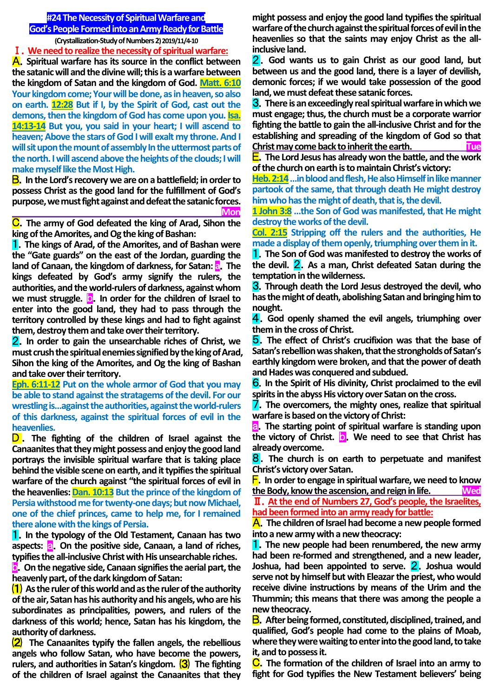# **#24 The Necessity of Spiritual Warfare and God's People Formed into an Army Ready for Battle (Crystallization-Study of Numbers 2) 2019/11/4-10**

Ⅰ.**We need to realize the necessity of spiritual warfare:**

A.**Spiritual warfare has its source in the conflict between the satanic will and the divine will; this is a warfare between the kingdom of Satan and the kingdom of God. Matt. 6:10 Your kingdom come; Your will be done, as in heaven, so also on earth. 12:28 But if I, by the Spirit of God, cast out the demons, then the kingdom of God has come upon you. Isa. 14:13-14 But you, you said in your heart; I will ascend to heaven; Above the stars of God I will exalt my throne. And I will sit upon the mount of assembly In the uttermost parts of the north. I will ascend above the heights of the clouds; I will make myself like the Most High.**

B.**In the Lord's recovery we are on a battlefield; in order to possess Christ as the good land for the fulfillment of God's purpose, we must fight against and defeat the satanic forces. Mon**

C.**The army of God defeated the king of Arad, Sihon the king of the Amorites, and Og the king of Bashan:**

1.**The kings of Arad, of the Amorites, and of Bashan were the "Gate guards" on the east of the Jordan, guarding the land of Canaan, the kingdom of darkness, for Satan: a**.**The kings defeated by God's army signify the rulers, the authorities, and the world-rulers of darkness, against whom we must struggle. <b>b.** In order for the children of Israel to **enter into the good land, they had to pass through the territory controlled by these kings and had to fight against them, destroy them and take over their territory.**

2.**In order to gain the unsearchable riches of Christ, we must crush the spiritual enemies signified by the king of Arad, Sihon the king of the Amorites, and Og the king of Bashan and take over their territory.**

**Eph. 6:11-12 Put on the whole armor of God that you may be able to stand against the stratagems of the devil. For our wrestling is…against the authorities, against the world-rulers of this darkness, against the spiritual forces of evil in the heavenlies.**

D. The fighting of the children of Israel against the **Canaanites that they might possess and enjoy the good land portrays the invisible spiritual warfare that is taking place behind the visible scene on earth, and it typifies the spiritual warfare of the church against "the spiritual forces of evil in the heavenlies: Dan. 10:13 But the prince of the kingdom of Persia withstood me for twenty-one days; but now Michael, one of the chief princes, came to help me, for I remained there alone with the kings of Persia.**

1.**In the typology of the Old Testament, Canaan has two**  aspects: **a.** On the positive side, Canaan, a land of riches, **typifies the all-inclusive Christ with His unsearchable riches.**

b.**On the negative side, Canaan signifies the aerial part, the heavenly part, of the dark kingdom of Satan:**

⑴ **As the ruler of this world and as the ruler of the authority of the air, Satan has his authority and his angels, who are his subordinates as principalities, powers, and rulers of the darkness of this world; hence, Satan has his kingdom, the authority of darkness.**

⑵ **The Canaanites typify the fallen angels, the rebellious angels who follow Satan, who have become the powers, rulers, and authorities in Satan's kingdom.** ⑶ **The fighting of the children of Israel against the Canaanites that they**  **might possess and enjoy the good land typifies the spiritual warfare of the church against the spiritual forces of evil in the heavenlies so that the saints may enjoy Christ as the allinclusive land.**

2.**God wants us to gain Christ as our good land, but between us and the good land, there is a layer of devilish, demonic forces; if we would take possession of the good land, we must defeat these satanic forces.**

3.**There is an exceedingly real spiritual warfare in which we must engage; thus, the church must be a corporate warrior fighting the battle to gain the all-inclusive Christ and for the establishing and spreading of the kingdom of God so that Christ may come back to inherit the earth.** 

E.**The Lord Jesus has already won the battle, and the work of the church on earth is to maintain Christ's victory:**

**Heb. 2:14…in blood and flesh, He also Himself in like manner partook of the same, that through death He might destroy him who has the might of death, that is, the devil.**

**1 John 3:8 …the Son of God was manifested, that He might destroy the works of the devil.**

**Col. 2:15 Stripping off the rulers and the authorities, He made a display of them openly, triumphing over them in it.**

1.**The Son of God was manifested to destroy the works of the devil.** 2.**As a man, Christ defeated Satan during the temptation in the wilderness.**

3.**Through death the Lord Jesus destroyed the devil, who has the might of death, abolishing Satan and bringing him to nought.**

4.**God openly shamed the evil angels, triumphing over them in the cross of Christ.**

5.**The effect of Christ's crucifixion was that the base of Satan's rebellion was shaken, that the strongholds of Satan's earthly kingdom were broken, and that the power of death and Hades was conquered and subdued.**

6.**In the Spirit of His divinity, Christ proclaimed to the evil spirits in the abyss His victory over Satan on the cross.**

7.**The overcomers, the mighty ones, realize that spiritual warfare is based on the victory of Christ:**

a.**The starting point of spiritual warfare is standing upon**  the victory of Christ. **D.** We need to see that Christ has **already overcome.**

8.**The church is on earth to perpetuate and manifest Christ's victory over Satan.**

F.**In order to engage in spiritual warfare, we need to know the Body, know the ascension, and reign in life. Wed**

Ⅱ.**At the end of Numbers 27, God's people, the Israelites, had been formed into an army ready for battle:**

A.**The children of Israel had become a new people formed into a new army with a new theocracy:**

1.**The new people had been renumbered, the new army had been re-formed and strengthened, and a new leader, Joshua, had been appointed to serve.** 2.**Joshua would serve not by himself but with Eleazar the priest, who would receive divine instructions by means of the Urim and the Thummin; this means that there was among the people a new theocracy.**

B.**After being formed, constituted, disciplined, trained, and qualified, God's people had come to the plains of Moab, where they were waiting to enter into the good land, to take it, and to possess it.**

C.**The formation of the children of Israel into an army to fight for God typifies the New Testament believers' being**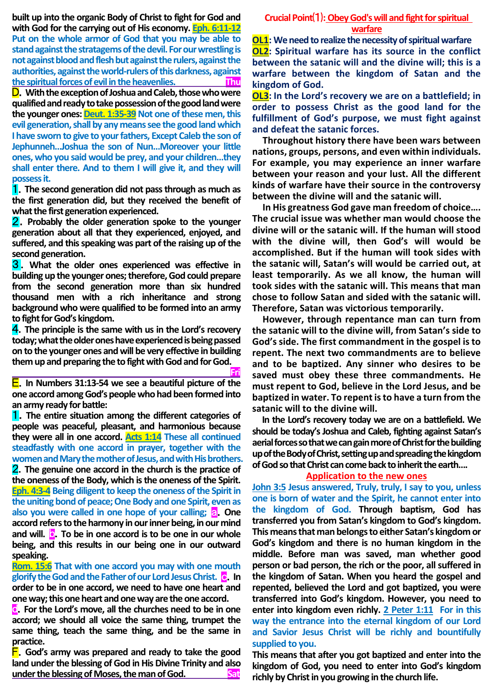**built up into the organic Body of Christ to fight for God and with God for the carrying out of His economy. Eph. 6:11-12 Put on the whole armor of God that you may be able to stand against the stratagems of the devil. For our wrestling is not against blood and flesh but against the rulers, against the authorities, against the world-rulers of this darkness, against the spiritual forces of evil in the heavenlies. Thu**

D.**With the exception of Joshua and Caleb, those who were qualified and ready to take possession of the good land were**  the younger ones: **Deut. 1:35-39** Not one of these men, this **evil generation, shall by any means see the good land which I have sworn to give to your fathers, Except Caleb the son of Jephunneh…Joshua the son of Nun…Moreover your little ones, who you said would be prey, and your children…they shall enter there. And to them I will give it, and they will possess it.**

1.**The second generation did not pass through as much as the first generation did, but they received the benefit of what the first generation experienced.**

2.**Probably the older generation spoke to the younger generation about all that they experienced, enjoyed, and suffered, and this speaking was part of the raising up of the second generation.**

3 . **What the older ones experienced was effective in building up the younger ones; therefore, God could prepare from the second generation more than six hundred thousand men with a rich inheritance and strong background who were qualified to be formed into an army to fight for God's kingdom.**

4.**The principle is the same with us in the Lord's recovery today; what the older ones have experienced is being passed on to the younger ones and will be very effective in building them up and preparing the to fight with God and for God.**

 **Fri** E.**In Numbers 31:13-54 we see a beautiful picture of the one accord among God's people who had been formed into an army ready for battle:**

1.**The entire situation among the different categories of people was peaceful, pleasant, and harmonious because they were all in one accord. Acts 1:14 These all continued steadfastly with one accord in prayer, together with the women and Mary the mother of Jesus, and with His brothers.**  2.**The genuine one accord in the church is the practice of the oneness of the Body, which is the oneness of the Spirit. Eph. 4:3-4 Being diligent to keep the oneness of the Spirit in the uniting bond of peace; One Body and one Spirit, even as also you were called in one hope of your calling; a. One accord refers to the harmony in our inner being, in our mind and will.** b.**To be in one accord is to be one in our whole being, and this results in our being one in our outward speaking.**

**Rom. 15:6 That with one accord you may with one mouth glorify the God and the Father of our Lord Jesus Christ.** c.**In order to be in one accord, we need to have one heart and one way; this one heart and one way are the one accord.**

d.**For the Lord's move, all the churches need to be in one accord; we should all voice the same thing, trumpet the same thing, teach the same thing, and be the same in practice.**

F.**God's army was prepared and ready to take the good land under the blessing of God in His Divine Trinity and also**  under the blessing of Moses, the man of God.

# **Crucial Point**⑴**: Obey God's will and fight for spiritual warfare**

**OL1: We need to realize the necessity of spiritual warfare OL2: Spiritual warfare has its source in the conflict between the satanic will and the divine will; this is a warfare between the kingdom of Satan and the kingdom of God.**

**OL3: In the Lord's recovery we are on a battlefield; in order to possess Christ as the good land for the fulfillment of God's purpose, we must fight against and defeat the satanic forces.** 

**Throughout history there have been wars between nations, groups, persons, and even within individuals. For example, you may experience an inner warfare between your reason and your lust. All the different kinds of warfare have their source in the controversy between the divine will and the satanic will.**

**In His greatness God gave man freedom of choice…. The crucial issue was whether man would choose the divine will or the satanic will. If the human will stood with the divine will, then God's will would be accomplished. But if the human will took sides with the satanic will, Satan's will would be carried out, at least temporarily. As we all know, the human will took sides with the satanic will. This means that man chose to follow Satan and sided with the satanic will. Therefore, Satan was victorious temporarily.**

**However, through repentance man can turn from the satanic will to the divine will, from Satan's side to God's side. The first commandment in the gospel is to repent. The next two commandments are to believe and to be baptized. Any sinner who desires to be saved must obey these three commandments. He must repent to God, believe in the Lord Jesus, and be baptized in water. To repent is to have a turn from the satanic will to the divine will.** 

**In the Lord's recovery today we are on a battlefield. We should be today's Joshua and Caleb, fighting against Satan's aerial forces so that we can gain more of Christ for the building up of the Body of Christ, setting up and spreading the kingdom of God sothat Christ can come back to inherit the earth….** 

### **Application to the new ones**

**John 3:5 Jesus answered, Truly, truly, I say to you, unless one is born of water and the Spirit, he cannot enter into the kingdom of God. Through baptism, God has transferred you from Satan's kingdom to God's kingdom. This means that man belongs to either Satan's kingdom or God's kingdom and there is no human kingdom in the middle. Before man was saved, man whether good person or bad person, the rich or the poor, all suffered in the kingdom of Satan. When you heard the gospel and repented, believed the Lord and got baptized, you were transferred into God's kingdom. However, you need to enter into kingdom even richly. 2 Peter 1:11 For in this way the entrance into the eternal kingdom of our Lord and Savior Jesus Christ will be richly and bountifully supplied to you.**

**This means that after you got baptized and enter into the kingdom of God, you need to enter into God's kingdom richly by Christ in you growing in the church life.**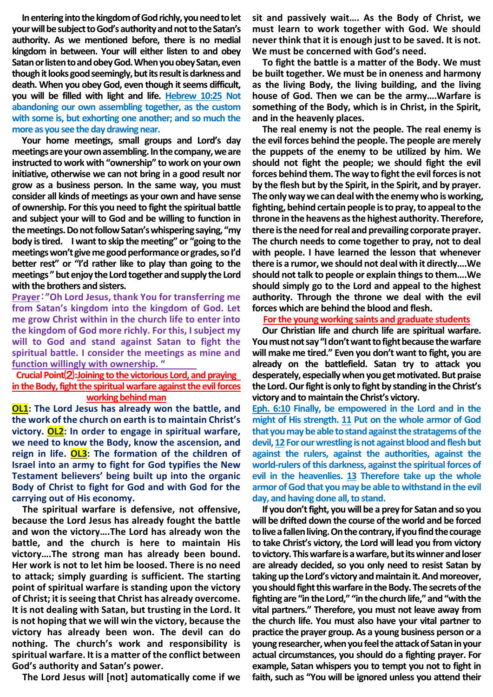**In entering into the kingdom of God richly, you need to let your will be subject to God's authority and not to the Satan's authority. As we mentioned before, there is no medial kingdom in between. Your will either listen to and obey Satan or listen to and obey God. When you obey Satan, even though it looks good seemingly, but its result is darkness and death. When you obey God, even though it seems difficult, you will be filled with light and life. Hebrew 10:25 Not abandoning our own assembling together, as the custom with some is, but exhorting one another; and so much the more as you see the day drawing near.** 

**Your home meetings, small groups and Lord's day meetings are your own assembling.In the company, we are instructed to work with "ownership" to work on your own initiative, otherwise we can not bring in a good result nor grow as a business person. In the same way, you must consider all kinds of meetings as your own and have sense of ownership. For this you need to fight the spiritual battle and subject your will to God and be willing to function in the meetings. Do not follow Satan's whispering saying, "my body is tired. I want to skip the meeting" or "going to the meetings won't give me good performance or grades, so I'd better rest" or "I'd rather like to play than going to the meetings " but enjoy the Lord together and supply the Lord with the brothers and sisters.** 

**Prayer**:**"Oh Lord Jesus, thank You for transferring me from Satan's kingdom into the kingdom of God. Let me grow Christ within in the church life to enter into the kingdom of God more richly. For this, I subject my will to God and stand against Satan to fight the spiritual battle. I consider the meetings as mine and function willingly with ownership. "**

## **Crucial Point**⑵**:Joining to the victorious Lord, and praying in the Body, fight the spiritual warfare against the evil forces working behind man**

**OL1: The Lord Jesus has already won the battle, and the work of the church on earth is to maintain Christ's victory. OL2: In order to engage in spiritual warfare, we need to know the Body, know the ascension, and reign in life. OL3: The formation of the children of Israel into an army to fight for God typifies the New Testament believers' being built up into the organic Body of Christ to fight for God and with God for the carrying out of His economy.**

**The spiritual warfare is defensive, not offensive, because the Lord Jesus has already fought the battle and won the victory….The Lord has already won the battle, and the church is here to maintain His victory….The strong man has already been bound. Her work is not to let him be loosed. There is no need to attack; simply guarding is sufficient. The starting point of spiritual warfare is standing upon the victory of Christ; it is seeing that Christ has already overcome. It is not dealing with Satan, but trusting in the Lord. It is not hoping that we will win the victory, because the victory has already been won. The devil can do nothing. The church's work and responsibility is spiritual warfare. It is a matter of the conflict between God's authority and Satan's power.**

**The Lord Jesus will [not] automatically come if we** 

**sit and passively wait…. As the Body of Christ, we must learn to work together with God. We should never think that it is enough just to be saved. It is not. We must be concerned with God's need.**

**To fight the battle is a matter of the Body. We must be built together. We must be in oneness and harmony as the living Body, the living building, and the living house of God. Then we can be the army….Warfare is something of the Body, which is in Christ, in the Spirit, and in the heavenly places.**

**The real enemy is not the people. The real enemy is the evil forces behind the people. The people are merely the puppets of the enemy to be utilized by him. We should not fight the people; we should fight the evil forces behind them. The way to fight the evil forces is not by the flesh but by the Spirit, in the Spirit, and by prayer. The only way we can deal with the enemy who is working, fighting, behind certain people is to pray, to appeal to the throne in the heavens as the highest authority. Therefore,**  there is the need for real and prevailing corporate prayer. **The church needs to come together to pray, not to deal with people. I have learned the lesson that whenever there is a rumor, we should not deal with it directly….We should not talk to people or explain things to them….We should simply go to the Lord and appeal to the highest authority. Through the throne we deal with the evil forces which are behind the blood and flesh.**

### **For the young working saints and graduate students**

**Our Christian life and church life are spiritual warfare. You must not say "I don't want to fight because the warfare will make me tired." Even you don't want to fight, you are already on the battlefield. Satan try to attack you desperately, especially when you get motivated. But praise the Lord. Our fight is only to fight by standing in the Christ's victory and to maintain the Christ's victory.**

**Eph. 6:10 Finally, be empowered in the Lord and in the might of His strength. 11 Put on the whole armor of God that you may be able to stand against the stratagems of the devil, 12For our wrestling is not against blood and flesh but against the rulers, against the authorities, against the world-rulers of this darkness, against the spiritual forces of evil in the heavenlies. 13 Therefore take up the whole armor of God that you may be able to withstand in the evil day, and having done all, to stand.**

**If you don't fight, you will be a prey for Satan and so you will be drifted down the course of the world and be forced to live a fallen living. On the contrary, if you find the courage to take Christ's victory, the Lord will lead you from victory**  to victory. This warfare is a warfare, but its winner and loser **are already decided, so you only need to resist Satan by taking up the Lord's victory and maintain it. And moreover, you should fight this warfare in the Body. The secrets of the fighting are "in the Lord," "in the church life," and "with the vital partners." Therefore, you must not leave away from the church life. You must also have your vital partner to practice the prayer group. As a young business person or a young researcher, when you feel the attack of Satan in your actual circumstances, you should do a fighting prayer. For example, Satan whispers you to tempt you not to fight in faith, such as "You will be ignored unless you attend their**